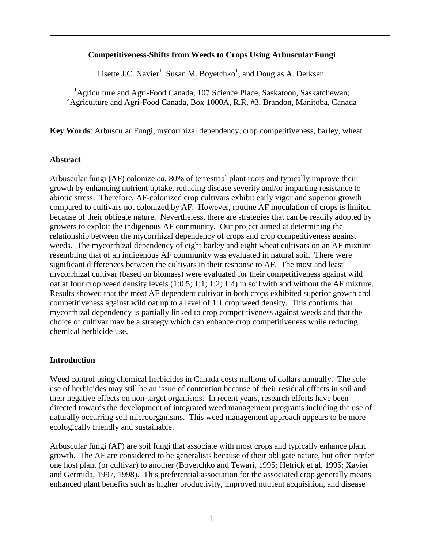### **Competitiveness-Shifts from Weeds to Crops Using Arbuscular Fungi**

Lisette J.C. Xavier<sup>1</sup>, Susan M. Boyetchko<sup>1</sup>, and Douglas A. Derksen<sup>2</sup>

<sup>1</sup>Agriculture and Agri-Food Canada, 107 Science Place, Saskatoon, Saskatchewan; <sup>2</sup>Agriculture and Agri-Food Canada, Box 1000A, R.R. #3, Brandon, Manitoba, Canada

**Key Words**: Arbuscular Fungi, mycorrhizal dependency, crop competitiveness, barley, wheat

#### **Abstract**

Arbuscular fungi (AF) colonize *ca.* 80% of terrestrial plant roots and typically improve their growth by enhancing nutrient uptake, reducing disease severity and/or imparting resistance to abiotic stress. Therefore, AF-colonized crop cultivars exhibit early vigor and superior growth compared to cultivars not colonized by AF. However, routine AF inoculation of crops is limited because of their obligate nature. Nevertheless, there are strategies that can be readily adopted by growers to exploit the indigenous AF community. Our project aimed at determining the relationship between the mycorrhizal dependency of crops and crop competitiveness against weeds. The mycorrhizal dependency of eight barley and eight wheat cultivars on an AF mixture resembling that of an indigenous AF community was evaluated in natural soil. There were significant differences between the cultivars in their response to AF. The most and least mycorrhizal cultivar (based on biomass) were evaluated for their competitiveness against wild oat at four crop:weed density levels (1:0.5; 1:1; 1:2; 1:4) in soil with and without the AF mixture. Results showed that the most AF dependent cultivar in both crops exhibited superior growth and competitiveness against wild oat up to a level of 1:1 crop:weed density. This confirms that mycorrhizal dependency is partially linked to crop competitiveness against weeds and that the choice of cultivar may be a strategy which can enhance crop competitiveness while reducing chemical herbicide use.

## **Introduction**

Weed control using chemical herbicides in Canada costs millions of dollars annually. The sole use of herbicides may still be an issue of contention because of their residual effects in soil and their negative effects on non-target organisms. In recent years, research efforts have been directed towards the development of integrated weed management programs including the use of naturally occurring soil microorganisms. This weed management approach appears to be more ecologically friendly and sustainable.

Arbuscular fungi (AF) are soil fungi that associate with most crops and typically enhance plant growth. The AF are considered to be generalists because of their obligate nature, but often prefer one host plant (or cultivar) to another (Boyetchko and Tewari, 1995; Hetrick et al. 1995; Xavier and Germida, 1997, 1998). This preferential association for the associated crop generally means enhanced plant benefits such as higher productivity, improved nutrient acquisition, and disease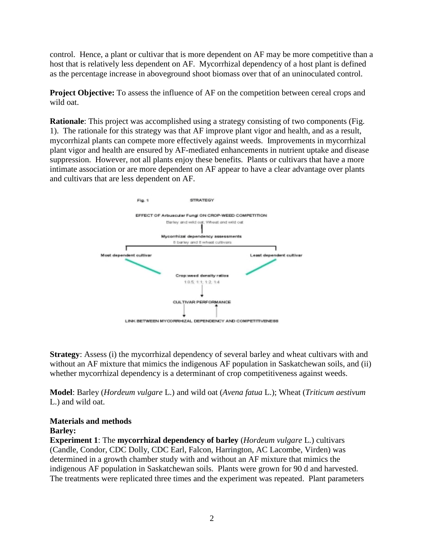control. Hence, a plant or cultivar that is more dependent on AF may be more competitive than a host that is relatively less dependent on AF. Mycorrhizal dependency of a host plant is defined as the percentage increase in aboveground shoot biomass over that of an uninoculated control.

**Project Objective:** To assess the influence of AF on the competition between cereal crops and wild oat.

**Rationale:** This project was accomplished using a strategy consisting of two components (Fig. 1). The rationale for this strategy was that AF improve plant vigor and health, and as a result, mycorrhizal plants can compete more effectively against weeds. Improvements in mycorrhizal plant vigor and health are ensured by AF-mediated enhancements in nutrient uptake and disease suppression. However, not all plants enjoy these benefits. Plants or cultivars that have a more intimate association or are more dependent on AF appear to have a clear advantage over plants and cultivars that are less dependent on AF.



**Strategy**: Assess (i) the mycorrhizal dependency of several barley and wheat cultivars with and without an AF mixture that mimics the indigenous AF population in Saskatchewan soils, and (ii) whether mycorrhizal dependency is a determinant of crop competitiveness against weeds.

**Model**: Barley (*Hordeum vulgare* L.) and wild oat (*Avena fatua* L.); Wheat (*Triticum aestivum* L.) and wild oat.

# **Materials and methods**

## **Barley:**

**Experiment 1**: The **mycorrhizal dependency of barley** (*Hordeum vulgare* L.) cultivars (Candle, Condor, CDC Dolly, CDC Earl, Falcon, Harrington, AC Lacombe, Virden) was determined in a growth chamber study with and without an AF mixture that mimics the indigenous AF population in Saskatchewan soils. Plants were grown for 90 d and harvested. The treatments were replicated three times and the experiment was repeated. Plant parameters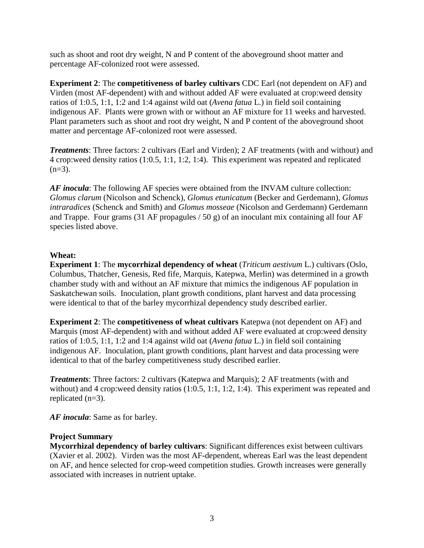such as shoot and root dry weight, N and P content of the aboveground shoot matter and percentage AF-colonized root were assessed.

**Experiment 2**: The **competitiveness of barley cultivars** CDC Earl (not dependent on AF) and Virden (most AF-dependent) with and without added AF were evaluated at crop:weed density ratios of 1:0.5, 1:1, 1:2 and 1:4 against wild oat (*Avena fatua* L.) in field soil containing indigenous AF. Plants were grown with or without an AF mixture for 11 weeks and harvested. Plant parameters such as shoot and root dry weight, N and P content of the aboveground shoot matter and percentage AF-colonized root were assessed.

*Treatments*: Three factors: 2 cultivars (Earl and Virden); 2 AF treatments (with and without) and 4 crop:weed density ratios (1:0.5, 1:1, 1:2, 1:4). This experiment was repeated and replicated  $(n=3)$ .

*AF inocula*: The following AF species were obtained from the INVAM culture collection: *Glomus clarum* (Nicolson and Schenck), *Glomus etunicatum* (Becker and Gerdemann), *Glomus intraradices* (Schenck and Smith) and *Glomus mosseae* (Nicolson and Gerdemann) Gerdemann and Trappe. Four grams (31 AF propagules  $/$  50 g) of an inoculant mix containing all four AF species listed above.

## **Wheat:**

**Experiment 1**: The **mycorrhizal dependency of wheat** (*Triticum aestivum* L.) cultivars (Oslo, Columbus, Thatcher, Genesis, Red fife, Marquis, Katepwa, Merlin) was determined in a growth chamber study with and without an AF mixture that mimics the indigenous AF population in Saskatchewan soils. Inoculation, plant growth conditions, plant harvest and data processing were identical to that of the barley mycorrhizal dependency study described earlier.

**Experiment 2**: The **competitiveness of wheat cultivars** Katepwa (not dependent on AF) and Marquis (most AF-dependent) with and without added AF were evaluated at crop:weed density ratios of 1:0.5, 1:1, 1:2 and 1:4 against wild oat (*Avena fatua* L.) in field soil containing indigenous AF. Inoculation, plant growth conditions, plant harvest and data processing were identical to that of the barley competitiveness study described earlier.

*Treatments*: Three factors: 2 cultivars (Katepwa and Marquis); 2 AF treatments (with and without) and 4 crop: weed density ratios (1:0.5, 1:1, 1:2, 1:4). This experiment was repeated and replicated  $(n=3)$ .

*AF inocula*: Same as for barley.

# **Project Summary**

**Mycorrhizal dependency of barley cultivars**: Significant differences exist between cultivars (Xavier et al. 2002). Virden was the most AF-dependent, whereas Earl was the least dependent on AF, and hence selected for crop-weed competition studies. Growth increases were generally associated with increases in nutrient uptake.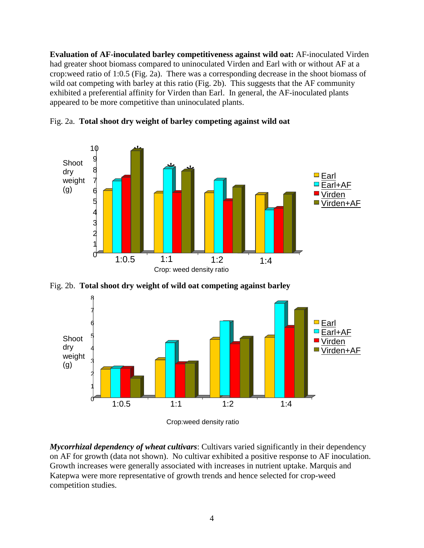**Evaluation of AF-inoculated barley competitiveness against wild oat:** AF-inoculated Virden had greater shoot biomass compared to uninoculated Virden and Earl with or without AF at a crop:weed ratio of 1:0.5 (Fig. 2a). There was a corresponding decrease in the shoot biomass of wild oat competing with barley at this ratio (Fig. 2b). This suggests that the AF community exhibited a preferential affinity for Virden than Earl. In general, the AF-inoculated plants appeared to be more competitive than uninoculated plants.



Fig. 2a. **Total shoot dry weight of barley competing against wild oat**

Fig. 2b. **Total shoot dry weight of wild oat competing against barley**



Crop:weed density ratio

*Mycorrhizal dependency of wheat cultivars*: Cultivars varied significantly in their dependency on AF for growth (data not shown). No cultivar exhibited a positive response to AF inoculation. Growth increases were generally associated with increases in nutrient uptake. Marquis and Katepwa were more representative of growth trends and hence selected for crop-weed competition studies.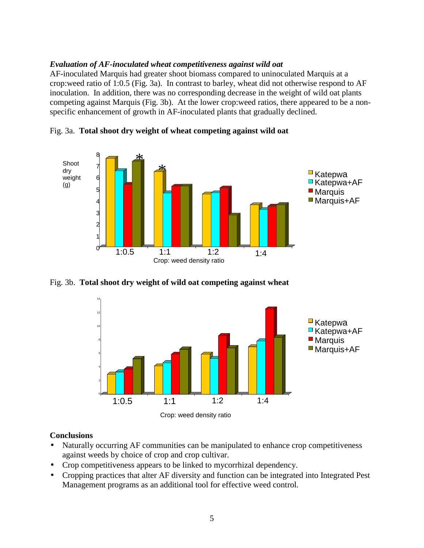### *Evaluation of AF-inoculated wheat competitiveness against wild oat*

AF-inoculated Marquis had greater shoot biomass compared to uninoculated Marquis at a crop:weed ratio of 1:0.5 (Fig. 3a). In contrast to barley, wheat did not otherwise respond to AF inoculation. In addition, there was no corresponding decrease in the weight of wild oat plants competing against Marquis (Fig. 3b). At the lower crop:weed ratios, there appeared to be a non-specific enhancement of growth in AF-inoculated plants that gradually declined.

\* \* 1:0.5 1:1 1:2 1:4 0 1 2 3 4 5 6 7 8 Shoot dry weight (g)  $\blacksquare$  Katepwa  $\blacksquare$ Katepwa+AF ■ Marquis Marquis+AF Crop: weed density ratio

Fig. 3a. **Total shoot dry weight of wheat competing against wild oat**

Fig. 3b. **Total shoot dry weight of wild oat competing against wheat**



## **Conclusions**

- Naturally occurring AF communities can be manipulated to enhance crop competitiveness against weeds by choice of crop and crop cultivar.
- Crop competitiveness appears to be linked to mycorrhizal dependency.
- Cropping practices that alter AF diversity and function can be integrated into Integrated Pest Management programs as an additional tool for effective weed control.